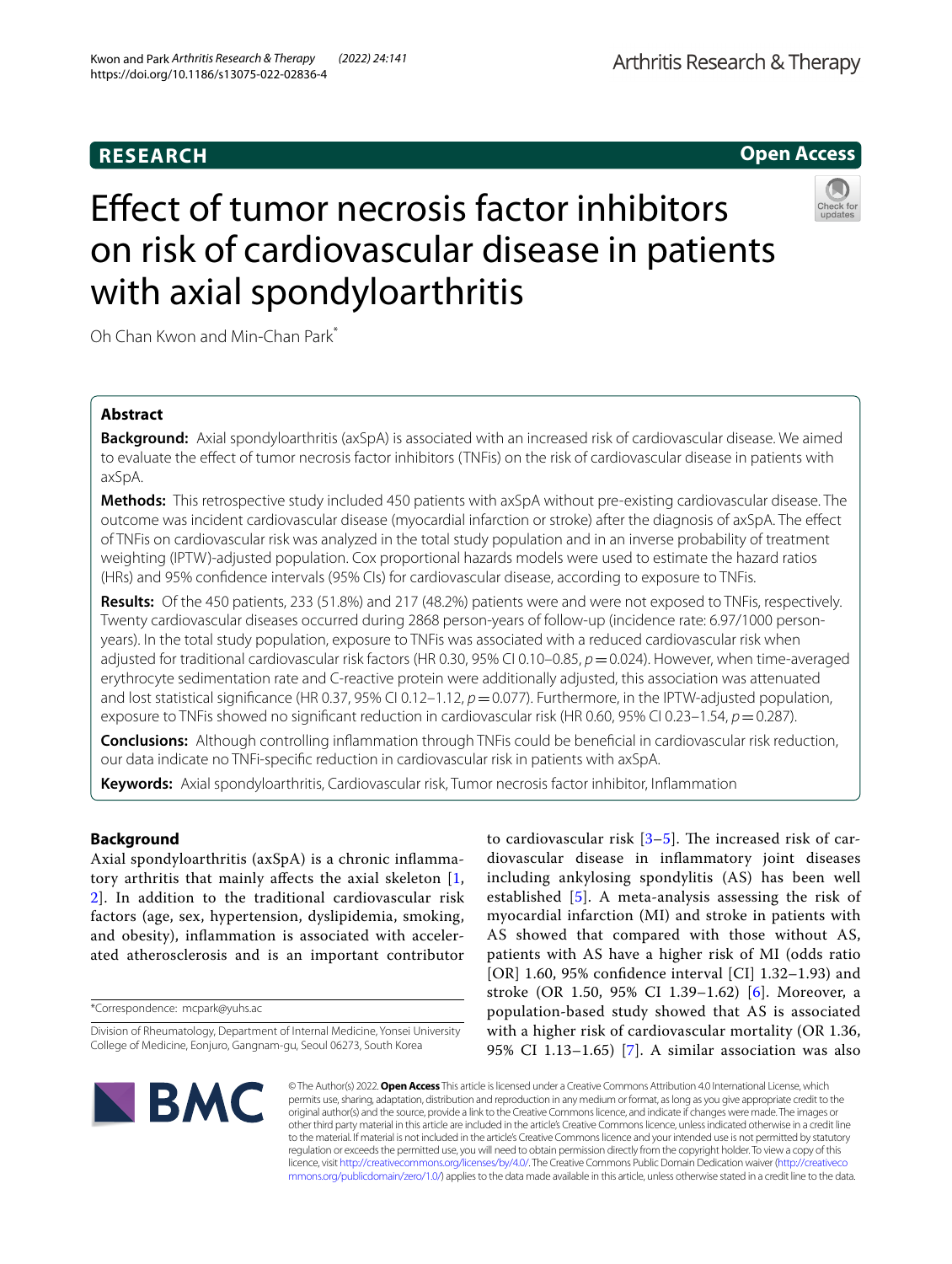# **RESEARCH**

# Efect of tumor necrosis factor inhibitors on risk of cardiovascular disease in patients with axial spondyloarthritis

Oh Chan Kwon and Min‑Chan Park\*

# **Abstract**

**Background:** Axial spondyloarthritis (axSpA) is associated with an increased risk of cardiovascular disease. We aimed to evaluate the efect of tumor necrosis factor inhibitors (TNFis) on the risk of cardiovascular disease in patients with axSpA.

**Methods:** This retrospective study included 450 patients with axSpA without pre-existing cardiovascular disease. The outcome was incident cardiovascular disease (myocardial infarction or stroke) after the diagnosis of axSpA. The efect of TNFis on cardiovascular risk was analyzed in the total study population and in an inverse probability of treatment weighting (IPTW)-adjusted population. Cox proportional hazards models were used to estimate the hazard ratios (HRs) and 95% confdence intervals (95% CIs) for cardiovascular disease, according to exposure to TNFis.

**Results:** Of the 450 patients, 233 (51.8%) and 217 (48.2%) patients were and were not exposed to TNFis, respectively. Twenty cardiovascular diseases occurred during 2868 person-years of follow-up (incidence rate: 6.97/1000 personyears). In the total study population, exposure to TNFis was associated with a reduced cardiovascular risk when adjusted for traditional cardiovascular risk factors (HR 0.30, 95% CI 0.10–0.85, *p*=0.024). However, when time-averaged erythrocyte sedimentation rate and C-reactive protein were additionally adjusted, this association was attenuated and lost statistical significance (HR 0.37, 95% CI 0.12–1.12,  $p=0.077$ ). Furthermore, in the IPTW-adjusted population, exposure to TNFis showed no signifcant reduction in cardiovascular risk (HR 0.60, 95% CI 0.23–1.54, *p*=0.287).

**Conclusions:** Although controlling infammation through TNFis could be benefcial in cardiovascular risk reduction, our data indicate no TNFi-specifc reduction in cardiovascular risk in patients with axSpA.

**Keywords:** Axial spondyloarthritis, Cardiovascular risk, Tumor necrosis factor inhibitor, Infammation

# **Background**

Axial spondyloarthritis (axSpA) is a chronic infammatory arthritis that mainly afects the axial skeleton [\[1](#page-7-0), [2\]](#page-7-1). In addition to the traditional cardiovascular risk factors (age, sex, hypertension, dyslipidemia, smoking, and obesity), infammation is associated with accelerated atherosclerosis and is an important contributor

\*Correspondence: mcpark@yuhs.ac

to cardiovascular risk  $[3-5]$  $[3-5]$ . The increased risk of cardiovascular disease in infammatory joint diseases including ankylosing spondylitis (AS) has been well established [[5\]](#page-7-3). A meta-analysis assessing the risk of myocardial infarction (MI) and stroke in patients with AS showed that compared with those without AS, patients with AS have a higher risk of MI (odds ratio [OR] 1.60, 95% confdence interval [CI] 1.32–1.93) and stroke (OR 1.50, 95% CI 1.39–1.62) [[6](#page-7-4)]. Moreover, a population-based study showed that AS is associated with a higher risk of cardiovascular mortality (OR 1.36, 95% CI 1.13–1.65) [\[7](#page-7-5)]. A similar association was also

**BMC** 

© The Author(s) 2022. **Open Access** This article is licensed under a Creative Commons Attribution 4.0 International License, which permits use, sharing, adaptation, distribution and reproduction in any medium or format, as long as you give appropriate credit to the original author(s) and the source, provide a link to the Creative Commons licence, and indicate if changes were made. The images or other third party material in this article are included in the article's Creative Commons licence, unless indicated otherwise in a credit line to the material. If material is not included in the article's Creative Commons licence and your intended use is not permitted by statutory regulation or exceeds the permitted use, you will need to obtain permission directly from the copyright holder. To view a copy of this licence, visit [http://creativecommons.org/licenses/by/4.0/.](http://creativecommons.org/licenses/by/4.0/) The Creative Commons Public Domain Dedication waiver ([http://creativeco](http://creativecommons.org/publicdomain/zero/1.0/) [mmons.org/publicdomain/zero/1.0/](http://creativecommons.org/publicdomain/zero/1.0/)) applies to the data made available in this article, unless otherwise stated in a credit line to the data.



**Open Access**

Division of Rheumatology, Department of Internal Medicine, Yonsei University College of Medicine, Eonjuro, Gangnam‑gu, Seoul 06273, South Korea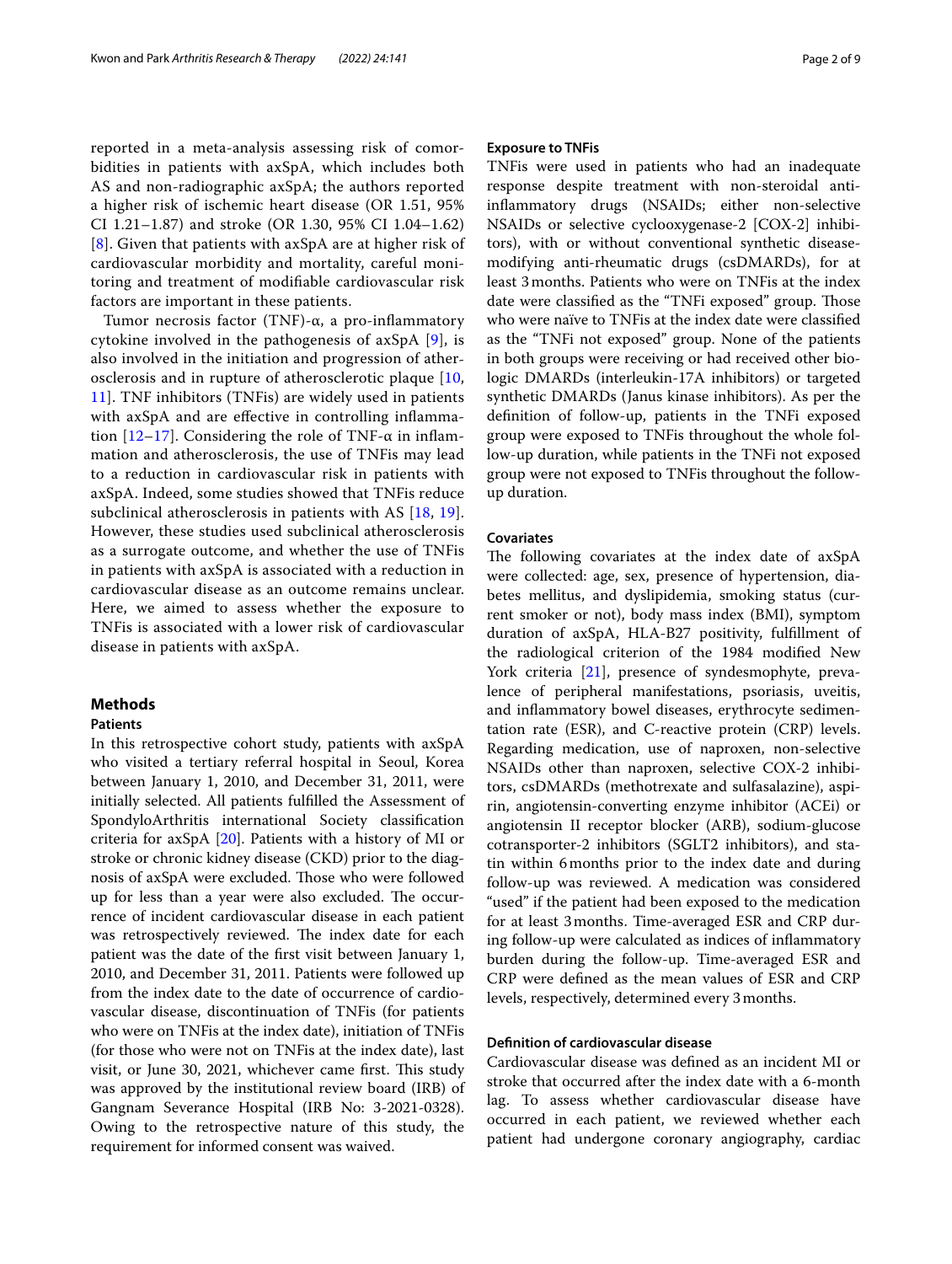reported in a meta-analysis assessing risk of comorbidities in patients with axSpA, which includes both AS and non-radiographic axSpA; the authors reported a higher risk of ischemic heart disease (OR 1.51, 95% CI 1.21–1.87) and stroke (OR 1.30, 95% CI 1.04–1.62) [[8](#page-7-6)]. Given that patients with axSpA are at higher risk of cardiovascular morbidity and mortality, careful monitoring and treatment of modifable cardiovascular risk factors are important in these patients.

Tumor necrosis factor (TNF)-α, a pro-infammatory cytokine involved in the pathogenesis of axSpA [[9\]](#page-7-7), is also involved in the initiation and progression of atherosclerosis and in rupture of atherosclerotic plaque [\[10](#page-7-8), [11\]](#page-7-9). TNF inhibitors (TNFis) are widely used in patients with axSpA and are effective in controlling inflammation  $[12-17]$  $[12-17]$  $[12-17]$ . Considering the role of TNF- $\alpha$  in inflammation and atherosclerosis, the use of TNFis may lead to a reduction in cardiovascular risk in patients with axSpA. Indeed, some studies showed that TNFis reduce subclinical atherosclerosis in patients with AS [\[18](#page-7-12), [19\]](#page-8-0). However, these studies used subclinical atherosclerosis as a surrogate outcome, and whether the use of TNFis in patients with axSpA is associated with a reduction in cardiovascular disease as an outcome remains unclear. Here, we aimed to assess whether the exposure to TNFis is associated with a lower risk of cardiovascular disease in patients with axSpA.

# **Methods**

### **Patients**

In this retrospective cohort study, patients with axSpA who visited a tertiary referral hospital in Seoul, Korea between January 1, 2010, and December 31, 2011, were initially selected. All patients fulflled the Assessment of SpondyloArthritis international Society classifcation criteria for axSpA [[20\]](#page-8-1). Patients with a history of MI or stroke or chronic kidney disease (CKD) prior to the diagnosis of axSpA were excluded. Those who were followed up for less than a year were also excluded. The occurrence of incident cardiovascular disease in each patient was retrospectively reviewed. The index date for each patient was the date of the frst visit between January 1, 2010, and December 31, 2011. Patients were followed up from the index date to the date of occurrence of cardiovascular disease, discontinuation of TNFis (for patients who were on TNFis at the index date), initiation of TNFis (for those who were not on TNFis at the index date), last visit, or June 30, 2021, whichever came first. This study was approved by the institutional review board (IRB) of Gangnam Severance Hospital (IRB No: 3-2021-0328). Owing to the retrospective nature of this study, the requirement for informed consent was waived.

## **Exposure to TNFis**

TNFis were used in patients who had an inadequate response despite treatment with non-steroidal antiinfammatory drugs (NSAIDs; either non-selective NSAIDs or selective cyclooxygenase-2 [COX-2] inhibitors), with or without conventional synthetic diseasemodifying anti-rheumatic drugs (csDMARDs), for at least 3months. Patients who were on TNFis at the index date were classified as the "TNFi exposed" group. Those who were naïve to TNFis at the index date were classifed as the "TNFi not exposed" group. None of the patients in both groups were receiving or had received other biologic DMARDs (interleukin-17A inhibitors) or targeted synthetic DMARDs (Janus kinase inhibitors). As per the defnition of follow-up, patients in the TNFi exposed group were exposed to TNFis throughout the whole follow-up duration, while patients in the TNFi not exposed group were not exposed to TNFis throughout the followup duration.

### **Covariates**

The following covariates at the index date of axSpA were collected: age, sex, presence of hypertension, diabetes mellitus, and dyslipidemia, smoking status (current smoker or not), body mass index (BMI), symptom duration of axSpA, HLA-B27 positivity, fulfllment of the radiological criterion of the 1984 modifed New York criteria [[21](#page-8-2)], presence of syndesmophyte, prevalence of peripheral manifestations, psoriasis, uveitis, and infammatory bowel diseases, erythrocyte sedimentation rate (ESR), and C-reactive protein (CRP) levels. Regarding medication, use of naproxen, non-selective NSAIDs other than naproxen, selective COX-2 inhibitors, csDMARDs (methotrexate and sulfasalazine), aspirin, angiotensin-converting enzyme inhibitor (ACEi) or angiotensin II receptor blocker (ARB), sodium-glucose cotransporter-2 inhibitors (SGLT2 inhibitors), and statin within 6months prior to the index date and during follow-up was reviewed. A medication was considered "used" if the patient had been exposed to the medication for at least 3months. Time-averaged ESR and CRP during follow-up were calculated as indices of infammatory burden during the follow-up. Time-averaged ESR and CRP were defned as the mean values of ESR and CRP levels, respectively, determined every 3months.

# **Defnition of cardiovascular disease**

Cardiovascular disease was defned as an incident MI or stroke that occurred after the index date with a 6-month lag. To assess whether cardiovascular disease have occurred in each patient, we reviewed whether each patient had undergone coronary angiography, cardiac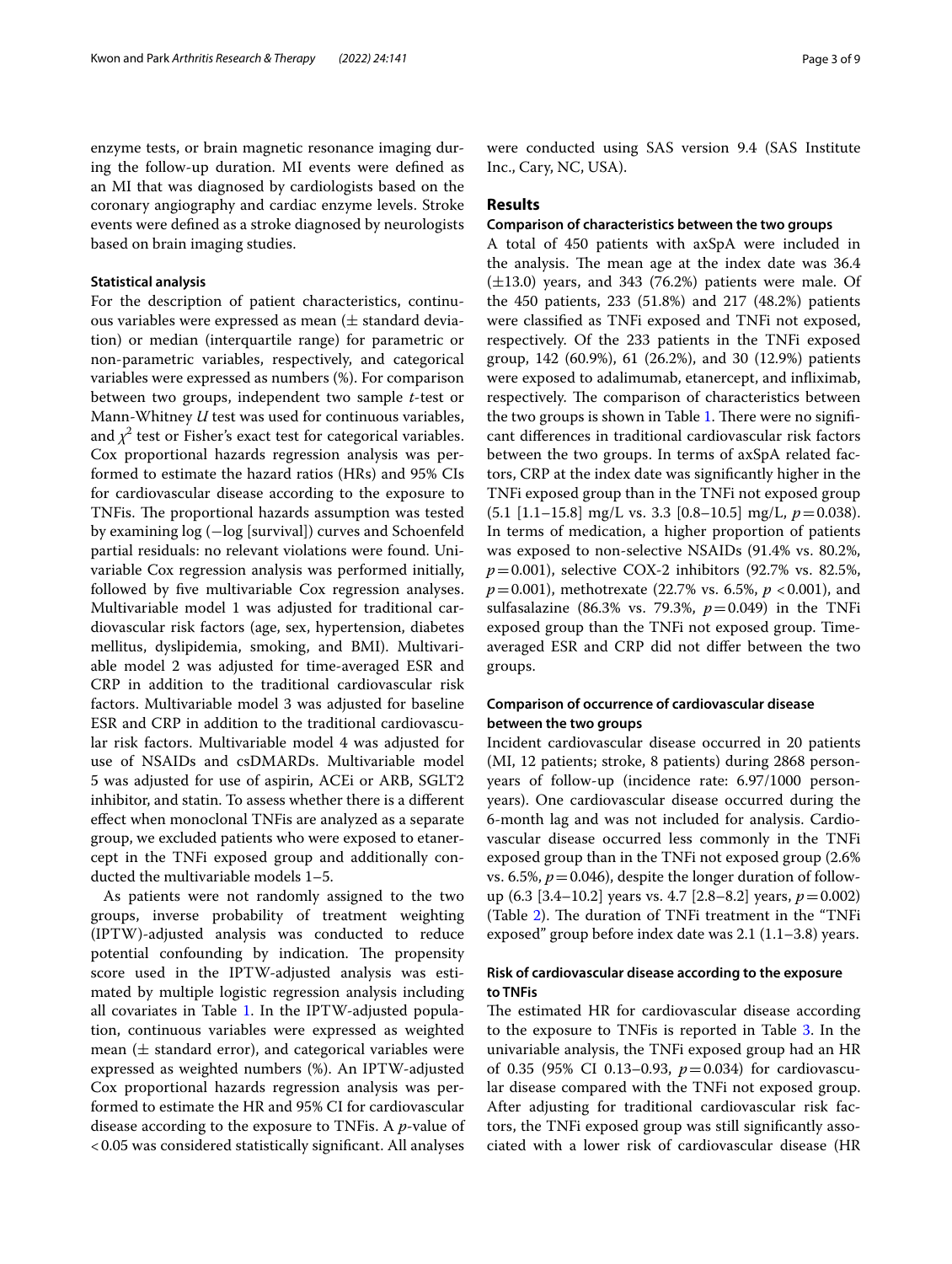enzyme tests, or brain magnetic resonance imaging during the follow-up duration. MI events were defned as an MI that was diagnosed by cardiologists based on the coronary angiography and cardiac enzyme levels. Stroke events were defned as a stroke diagnosed by neurologists based on brain imaging studies.

#### **Statistical analysis**

For the description of patient characteristics, continuous variables were expressed as mean  $(\pm$  standard deviation) or median (interquartile range) for parametric or non-parametric variables, respectively, and categorical variables were expressed as numbers (%). For comparison between two groups, independent two sample *t*-test or Mann-Whitney *U* test was used for continuous variables, and  $\chi^2$  test or Fisher's exact test for categorical variables. Cox proportional hazards regression analysis was performed to estimate the hazard ratios (HRs) and 95% CIs for cardiovascular disease according to the exposure to TNFis. The proportional hazards assumption was tested by examining log (−log [survival]) curves and Schoenfeld partial residuals: no relevant violations were found. Univariable Cox regression analysis was performed initially, followed by fve multivariable Cox regression analyses. Multivariable model 1 was adjusted for traditional cardiovascular risk factors (age, sex, hypertension, diabetes mellitus, dyslipidemia, smoking, and BMI). Multivariable model 2 was adjusted for time-averaged ESR and CRP in addition to the traditional cardiovascular risk factors. Multivariable model 3 was adjusted for baseline ESR and CRP in addition to the traditional cardiovascular risk factors. Multivariable model 4 was adjusted for use of NSAIDs and csDMARDs. Multivariable model 5 was adjusted for use of aspirin, ACEi or ARB, SGLT2 inhibitor, and statin. To assess whether there is a diferent efect when monoclonal TNFis are analyzed as a separate group, we excluded patients who were exposed to etanercept in the TNFi exposed group and additionally conducted the multivariable models 1–5.

As patients were not randomly assigned to the two groups, inverse probability of treatment weighting (IPTW)-adjusted analysis was conducted to reduce potential confounding by indication. The propensity score used in the IPTW-adjusted analysis was estimated by multiple logistic regression analysis including all covariates in Table [1.](#page-3-0) In the IPTW-adjusted population, continuous variables were expressed as weighted mean  $(\pm$  standard error), and categorical variables were expressed as weighted numbers (%). An IPTW-adjusted Cox proportional hazards regression analysis was performed to estimate the HR and 95% CI for cardiovascular disease according to the exposure to TNFis. A *p*-value of <0.05 was considered statistically signifcant. All analyses were conducted using SAS version 9.4 (SAS Institute Inc., Cary, NC, USA).

## **Results**

#### **Comparison of characteristics between the two groups**

A total of 450 patients with axSpA were included in the analysis. The mean age at the index date was 36.4  $(\pm 13.0)$  years, and 343 (76.2%) patients were male. Of the 450 patients, 233 (51.8%) and 217 (48.2%) patients were classifed as TNFi exposed and TNFi not exposed, respectively. Of the 233 patients in the TNFi exposed group, 142 (60.9%), 61 (26.2%), and 30 (12.9%) patients were exposed to adalimumab, etanercept, and infiximab, respectively. The comparison of characteristics between the two groups is shown in Table [1](#page-3-0). There were no significant diferences in traditional cardiovascular risk factors between the two groups. In terms of axSpA related factors, CRP at the index date was signifcantly higher in the TNFi exposed group than in the TNFi not exposed group (5.1 [1.1–15.8] mg/L vs. 3.3 [0.8–10.5] mg/L, *p*=0.038). In terms of medication, a higher proportion of patients was exposed to non-selective NSAIDs (91.4% vs. 80.2%, *p*=0.001), selective COX-2 inhibitors (92.7% vs. 82.5%, *p*=0.001), methotrexate (22.7% vs. 6.5%, *p* <0.001), and sulfasalazine (86.3% vs. 79.3%, *p*=0.049) in the TNFi exposed group than the TNFi not exposed group. Timeaveraged ESR and CRP did not difer between the two groups.

# **Comparison of occurrence of cardiovascular disease between the two groups**

Incident cardiovascular disease occurred in 20 patients (MI, 12 patients; stroke, 8 patients) during 2868 personyears of follow-up (incidence rate: 6.97/1000 personyears). One cardiovascular disease occurred during the 6-month lag and was not included for analysis. Cardiovascular disease occurred less commonly in the TNFi exposed group than in the TNFi not exposed group (2.6% vs. 6.5%,  $p = 0.046$ ), despite the longer duration of followup (6.3 [3.4–10.2] years vs. 4.7 [2.8–8.2] years, *p*=0.002) (Table [2\)](#page-3-1). The duration of TNFi treatment in the "TNFi exposed" group before index date was 2.1 (1.1–3.8) years.

# **Risk of cardiovascular disease according to the exposure to TNFis**

The estimated HR for cardiovascular disease according to the exposure to TNFis is reported in Table [3](#page-4-0). In the univariable analysis, the TNFi exposed group had an HR of 0.35 (95% CI 0.13–0.93, *p*=0.034) for cardiovascular disease compared with the TNFi not exposed group. After adjusting for traditional cardiovascular risk factors, the TNFi exposed group was still signifcantly associated with a lower risk of cardiovascular disease (HR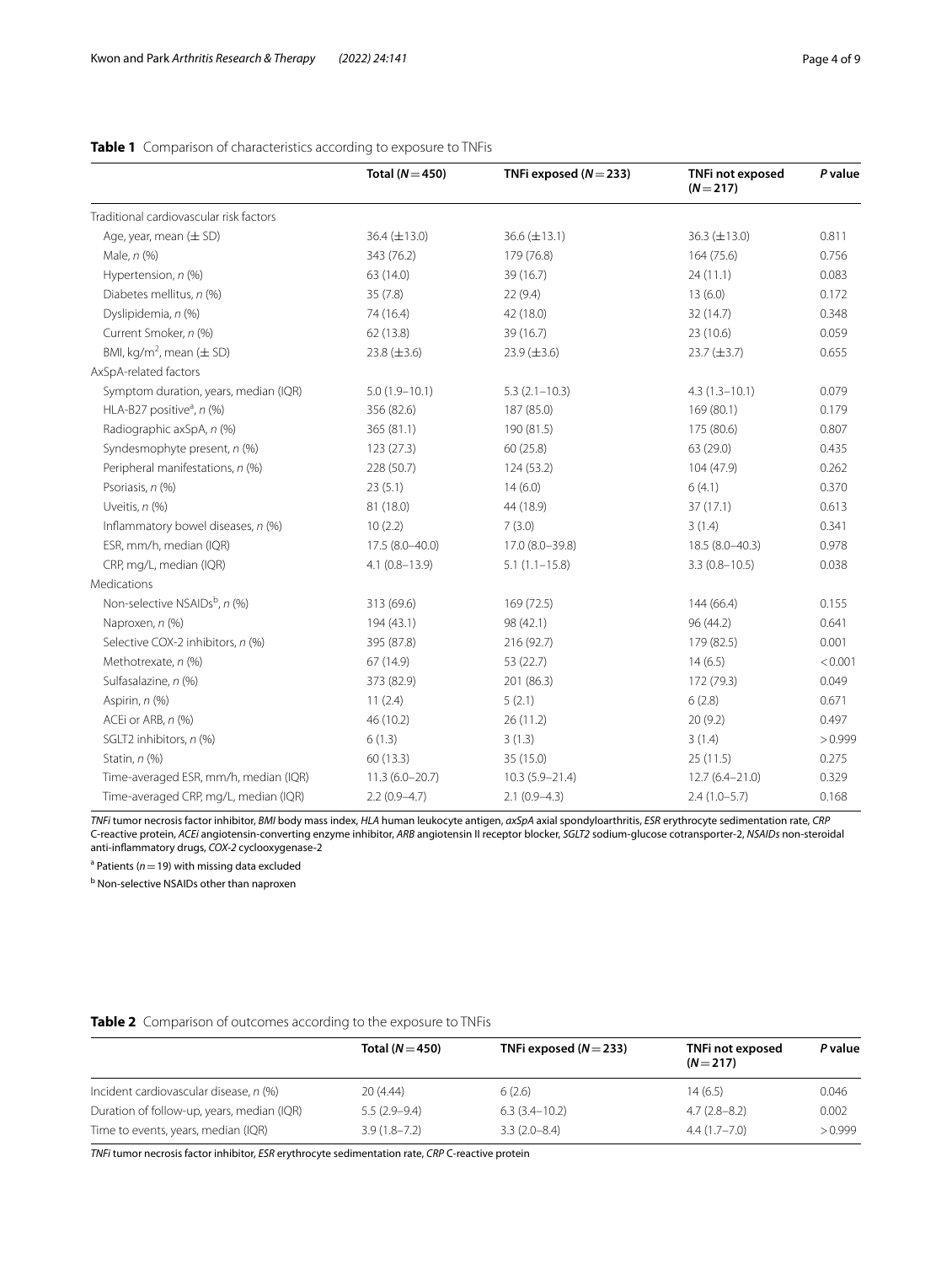|                                           | Total ( $N = 450$ ) | TNFi exposed $(N = 233)$ | TNFi not exposed<br>$(N=217)$ | P value |
|-------------------------------------------|---------------------|--------------------------|-------------------------------|---------|
| Traditional cardiovascular risk factors   |                     |                          |                               |         |
| Age, year, mean $(\pm$ SD)                | 36.4 $(\pm 13.0)$   | $36.6 (\pm 13.1)$        | 36.3 $(\pm 13.0)$             | 0.811   |
| Male, n (%)                               | 343 (76.2)          | 179 (76.8)               | 164 (75.6)                    | 0.756   |
| Hypertension, n (%)                       | 63 (14.0)           | 39 (16.7)                | 24(11.1)                      | 0.083   |
| Diabetes mellitus, n (%)                  | 35(7.8)             | 22(9.4)                  | 13(6.0)                       | 0.172   |
| Dyslipidemia, n (%)                       | 74 (16.4)           | 42 (18.0)                | 32 (14.7)                     | 0.348   |
| Current Smoker, n (%)                     | 62 (13.8)           | 39 (16.7)                | 23 (10.6)                     | 0.059   |
| BMI, kg/m <sup>2</sup> , mean $(\pm$ SD)  | 23.8 $(\pm 3.6)$    | $23.9 \ (\pm 3.6)$       | $23.7 (\pm 3.7)$              | 0.655   |
| AxSpA-related factors                     |                     |                          |                               |         |
| Symptom duration, years, median (IQR)     | $5.0(1.9 - 10.1)$   | $5.3(2.1 - 10.3)$        | $4.3(1.3 - 10.1)$             | 0.079   |
| HLA-B27 positive <sup>a</sup> , $n$ (%)   | 356 (82.6)          | 187 (85.0)               | 169 (80.1)                    | 0.179   |
| Radiographic axSpA, n (%)                 | 365 (81.1)          | 190 (81.5)               | 175 (80.6)                    | 0.807   |
| Syndesmophyte present, n (%)              | 123 (27.3)          | 60(25.8)                 | 63 (29.0)                     | 0.435   |
| Peripheral manifestations, n (%)          | 228 (50.7)          | 124 (53.2)               | 104 (47.9)                    | 0.262   |
| Psoriasis, n (%)                          | 23(5.1)             | 14(6.0)                  | 6(4.1)                        | 0.370   |
| Uveitis, $n$ $%$                          | 81 (18.0)           | 44 (18.9)                | 37(17.1)                      | 0.613   |
| Inflammatory bowel diseases, n (%)        | 10(2.2)             | 7(3.0)                   | 3(1.4)                        | 0.341   |
| ESR, mm/h, median (IQR)                   | 17.5 (8.0-40.0)     | 17.0 (8.0-39.8)          | 18.5 (8.0-40.3)               | 0.978   |
| CRP, mg/L, median (IQR)                   | $4.1(0.8 - 13.9)$   | $5.1(1.1 - 15.8)$        | $3.3(0.8 - 10.5)$             | 0.038   |
| Medications                               |                     |                          |                               |         |
| Non-selective NSAIDs <sup>b</sup> , n (%) | 313 (69.6)          | 169 (72.5)               | 144 (66.4)                    | 0.155   |
| Naproxen, n (%)                           | 194 (43.1)          | 98 (42.1)                | 96 (44.2)                     | 0.641   |
| Selective COX-2 inhibitors, n (%)         | 395 (87.8)          | 216 (92.7)               | 179 (82.5)                    | 0.001   |
| Methotrexate, n (%)                       | 67 (14.9)           | 53 (22.7)                | 14(6.5)                       | < 0.001 |
| Sulfasalazine, n (%)                      | 373 (82.9)          | 201 (86.3)               | 172 (79.3)                    | 0.049   |
| Aspirin, n (%)                            | 11(2.4)             | 5(2.1)                   | 6(2.8)                        | 0.671   |
| ACEi or ARB, n (%)                        | 46 (10.2)           | 26(11.2)                 | 20(9.2)                       | 0.497   |
| SGLT2 inhibitors, n (%)                   | 6(1.3)              | 3(1.3)                   | 3(1.4)                        | >0.999  |
| Statin, n (%)                             | 60(13.3)            | 35 (15.0)                | 25(11.5)                      | 0.275   |
| Time-averaged ESR, mm/h, median (IQR)     | $11.3(6.0 - 20.7)$  | $10.3(5.9 - 21.4)$       | $12.7(6.4 - 21.0)$            | 0.329   |
| Time-averaged CRP, mg/L, median (IQR)     | $2.2(0.9-4.7)$      | $2.1(0.9-4.3)$           | $2.4(1.0-5.7)$                | 0.168   |

# <span id="page-3-0"></span>**Table 1** Comparison of characteristics according to exposure to TNFis

*TNFi* tumor necrosis factor inhibitor, *BMI* body mass index, *HLA* human leukocyte antigen, *axSpA* axial spondyloarthritis, *ESR* erythrocyte sedimentation rate, *CRP* C-reactive protein, *ACEi* angiotensin-converting enzyme inhibitor, *ARB* angiotensin II receptor blocker, *SGLT2* sodium-glucose cotransporter-2, *NSAIDs* non-steroidal anti-infammatory drugs, *COX-2* cyclooxygenase-2

a Patients (*n*=19) with missing data excluded

**b** Non-selective NSAIDs other than naproxen

### <span id="page-3-1"></span>**Table 2** Comparison of outcomes according to the exposure to TNFis

|                                            | Total $(N=450)$  | TNFi exposed $(N=233)$ | TNFi not exposed<br>$(N=217)$ | P value |
|--------------------------------------------|------------------|------------------------|-------------------------------|---------|
| Incident cardiovascular disease, n (%)     | 20(4.44)         | 6(2.6)                 | 14 (6.5)                      | 0.046   |
| Duration of follow-up, years, median (IQR) | $5.5(2.9-9.4)$   | $6.3(3.4-10.2)$        | $4.7(2.8-8.2)$                | 0.002   |
| Time to events, years, median (IQR)        | $3.9(1.8 - 7.2)$ | $3.3(2.0 - 8.4)$       | $4.4(1.7-7.0)$                | > 0.999 |

*TNFi* tumor necrosis factor inhibitor, *ESR* erythrocyte sedimentation rate, *CRP* C-reactive protein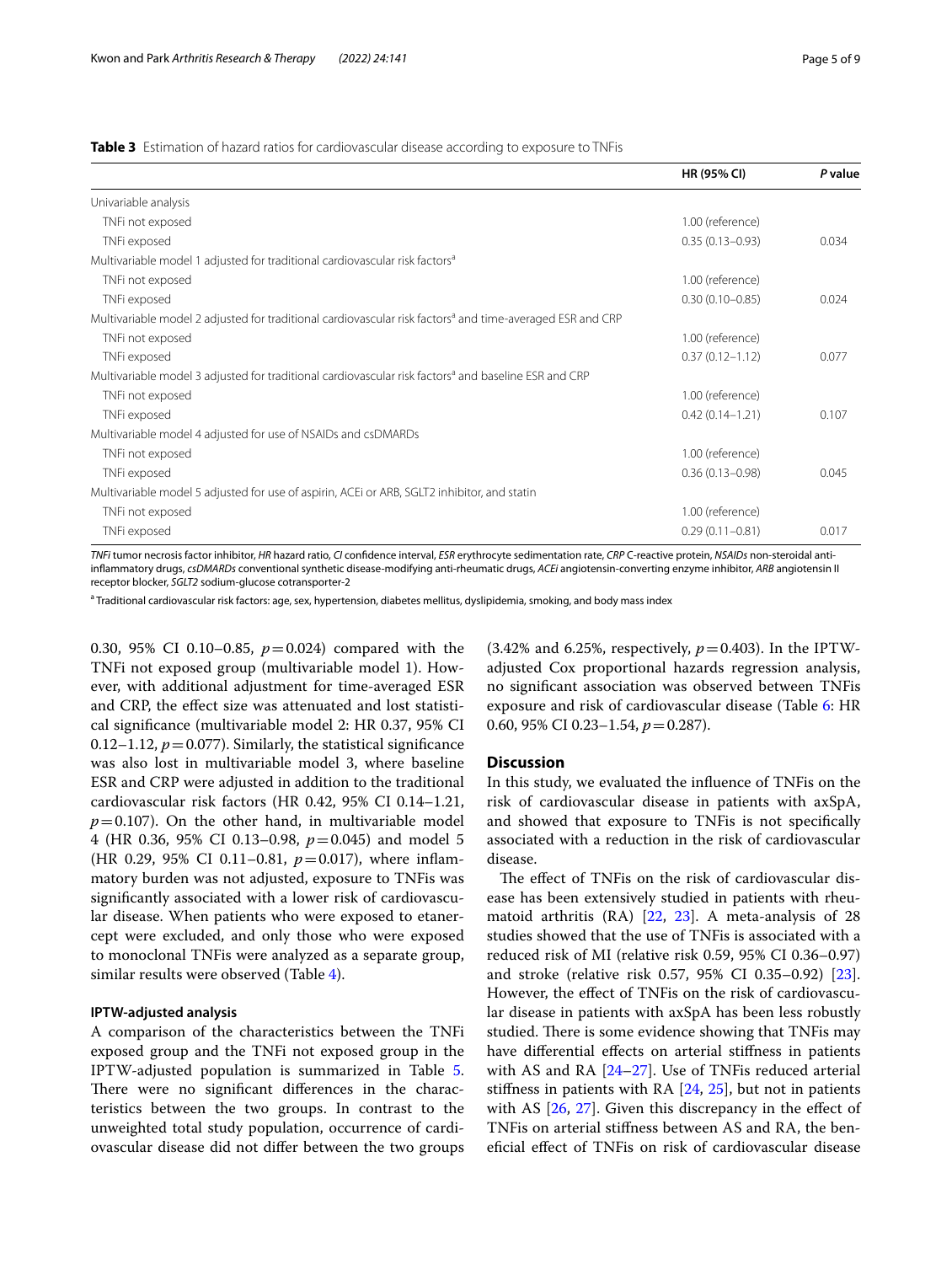<span id="page-4-0"></span>**Table 3** Estimation of hazard ratios for cardiovascular disease according to exposure to TNFis

|                                                                                                                       | HR (95% CI)         | P value |
|-----------------------------------------------------------------------------------------------------------------------|---------------------|---------|
| Univariable analysis                                                                                                  |                     |         |
| TNFi not exposed                                                                                                      | 1.00 (reference)    |         |
| TNFi exposed                                                                                                          | $0.35(0.13 - 0.93)$ | 0.034   |
| Multivariable model 1 adjusted for traditional cardiovascular risk factors <sup>a</sup>                               |                     |         |
| TNFi not exposed                                                                                                      | 1.00 (reference)    |         |
| TNFi exposed                                                                                                          | $0.30(0.10 - 0.85)$ | 0.024   |
| Multivariable model 2 adjusted for traditional cardiovascular risk factors <sup>a</sup> and time-averaged ESR and CRP |                     |         |
| TNFi not exposed                                                                                                      | 1.00 (reference)    |         |
| TNFi exposed                                                                                                          | $0.37(0.12 - 1.12)$ | 0.077   |
| Multivariable model 3 adjusted for traditional cardiovascular risk factors <sup>a</sup> and baseline ESR and CRP      |                     |         |
| TNFi not exposed                                                                                                      | 1.00 (reference)    |         |
| TNFi exposed                                                                                                          | $0.42(0.14 - 1.21)$ | 0.107   |
| Multivariable model 4 adjusted for use of NSAIDs and csDMARDs                                                         |                     |         |
| TNFi not exposed                                                                                                      | 1.00 (reference)    |         |
| TNFi exposed                                                                                                          | $0.36(0.13 - 0.98)$ | 0.045   |
| Multivariable model 5 adjusted for use of aspirin, ACEi or ARB, SGLT2 inhibitor, and statin                           |                     |         |
| TNFi not exposed                                                                                                      | 1.00 (reference)    |         |
| TNFi exposed                                                                                                          | $0.29(0.11 - 0.81)$ | 0.017   |

*TNFi* tumor necrosis factor inhibitor, *HR* hazard ratio, *CI* confdence interval, *ESR* erythrocyte sedimentation rate, *CRP* C-reactive protein, *NSAIDs* non-steroidal antiinfammatory drugs, *csDMARDs* conventional synthetic disease-modifying anti-rheumatic drugs, *ACEi* angiotensin-converting enzyme inhibitor, *ARB* angiotensin II receptor blocker, *SGLT2* sodium-glucose cotransporter-2

<sup>a</sup> Traditional cardiovascular risk factors: age, sex, hypertension, diabetes mellitus, dyslipidemia, smoking, and body mass index

0.30, 95% CI 0.10–0.85, *p*=0.024) compared with the TNFi not exposed group (multivariable model 1). However, with additional adjustment for time-averaged ESR and CRP, the efect size was attenuated and lost statistical signifcance (multivariable model 2: HR 0.37, 95% CI 0.12–1.12,  $p = 0.077$ ). Similarly, the statistical significance was also lost in multivariable model 3, where baseline ESR and CRP were adjusted in addition to the traditional cardiovascular risk factors (HR 0.42, 95% CI 0.14–1.21,  $p=0.107$ ). On the other hand, in multivariable model 4 (HR 0.36, 95% CI 0.13–0.98, *p*=0.045) and model 5 (HR 0.29, 95% CI 0.11–0.81, *p*=0.017), where infammatory burden was not adjusted, exposure to TNFis was signifcantly associated with a lower risk of cardiovascular disease. When patients who were exposed to etanercept were excluded, and only those who were exposed to monoclonal TNFis were analyzed as a separate group, similar results were observed (Table [4\)](#page-5-0).

#### **IPTW‑adjusted analysis**

A comparison of the characteristics between the TNFi exposed group and the TNFi not exposed group in the IPTW-adjusted population is summarized in Table [5](#page-6-0). There were no significant differences in the characteristics between the two groups. In contrast to the unweighted total study population, occurrence of cardiovascular disease did not difer between the two groups

 $(3.42\%$  and 6.25%, respectively,  $p=0.403$ ). In the IPTWadjusted Cox proportional hazards regression analysis, no signifcant association was observed between TNFis exposure and risk of cardiovascular disease (Table [6:](#page-6-1) HR 0.60, 95% CI 0.23-1.54,  $p = 0.287$ ).

### **Discussion**

In this study, we evaluated the infuence of TNFis on the risk of cardiovascular disease in patients with axSpA, and showed that exposure to TNFis is not specifcally associated with a reduction in the risk of cardiovascular disease.

The effect of TNFis on the risk of cardiovascular disease has been extensively studied in patients with rheumatoid arthritis (RA) [[22,](#page-8-3) [23\]](#page-8-4). A meta-analysis of 28 studies showed that the use of TNFis is associated with a reduced risk of MI (relative risk 0.59, 95% CI 0.36–0.97) and stroke (relative risk 0.57, 95% CI 0.35–0.92) [\[23](#page-8-4)]. However, the efect of TNFis on the risk of cardiovascular disease in patients with axSpA has been less robustly studied. There is some evidence showing that TNFis may have differential effects on arterial stiffness in patients with AS and RA [[24–](#page-8-5)[27](#page-8-6)]. Use of TNFis reduced arterial stifness in patients with RA [\[24,](#page-8-5) [25](#page-8-7)], but not in patients with AS  $[26, 27]$  $[26, 27]$  $[26, 27]$  $[26, 27]$  $[26, 27]$ . Given this discrepancy in the effect of TNFis on arterial stifness between AS and RA, the benefcial efect of TNFis on risk of cardiovascular disease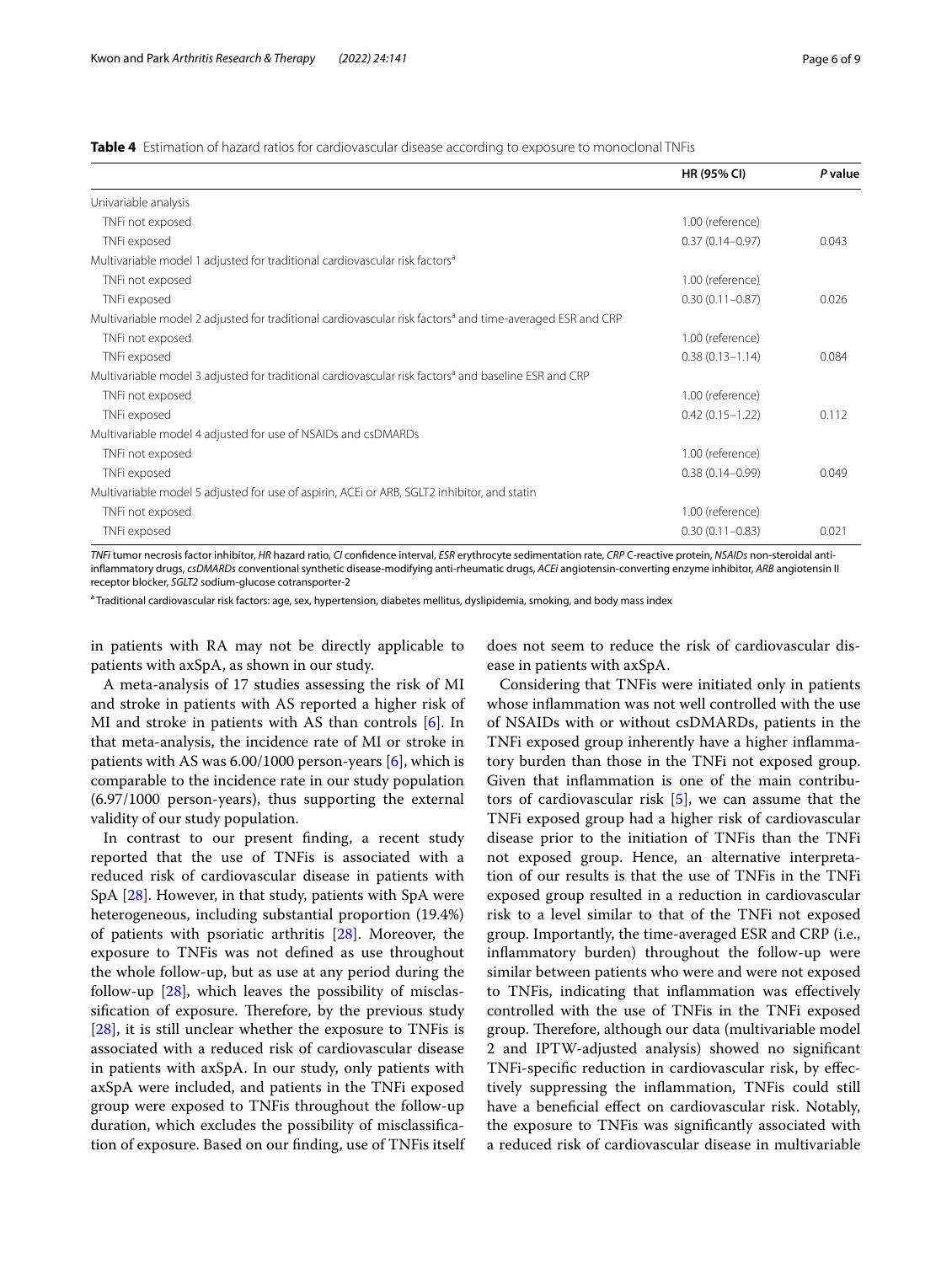<span id="page-5-0"></span>**Table 4** Estimation of hazard ratios for cardiovascular disease according to exposure to monoclonal TNFis

|                                                                                                                       | <b>HR (95% CI)</b>  | P value |
|-----------------------------------------------------------------------------------------------------------------------|---------------------|---------|
| Univariable analysis                                                                                                  |                     |         |
| TNFi not exposed                                                                                                      | 1.00 (reference)    |         |
| TNFi exposed                                                                                                          | $0.37(0.14 - 0.97)$ | 0.043   |
| Multivariable model 1 adjusted for traditional cardiovascular risk factors <sup>a</sup>                               |                     |         |
| TNFi not exposed                                                                                                      | 1.00 (reference)    |         |
| TNFi exposed                                                                                                          | $0.30(0.11 - 0.87)$ | 0.026   |
| Multivariable model 2 adjusted for traditional cardiovascular risk factors <sup>a</sup> and time-averaged ESR and CRP |                     |         |
| TNFi not exposed                                                                                                      | 1.00 (reference)    |         |
| TNFi exposed                                                                                                          | $0.38(0.13 - 1.14)$ | 0.084   |
| Multivariable model 3 adjusted for traditional cardiovascular risk factors <sup>a</sup> and baseline ESR and CRP      |                     |         |
| TNFi not exposed                                                                                                      | 1.00 (reference)    |         |
| TNFi exposed                                                                                                          | $0.42(0.15 - 1.22)$ | 0.112   |
| Multivariable model 4 adjusted for use of NSAIDs and csDMARDs                                                         |                     |         |
| TNFi not exposed                                                                                                      | 1.00 (reference)    |         |
| TNFi exposed                                                                                                          | $0.38(0.14 - 0.99)$ | 0.049   |
| Multivariable model 5 adjusted for use of aspirin, ACEi or ARB, SGLT2 inhibitor, and statin                           |                     |         |
| TNFi not exposed                                                                                                      | 1.00 (reference)    |         |
| TNFi exposed                                                                                                          | $0.30(0.11 - 0.83)$ | 0.021   |

*TNFi* tumor necrosis factor inhibitor, *HR* hazard ratio, *CI* confdence interval, *ESR* erythrocyte sedimentation rate, *CRP* C-reactive protein, *NSAIDs* non-steroidal antiinfammatory drugs, *csDMARDs* conventional synthetic disease-modifying anti-rheumatic drugs, *ACEi* angiotensin-converting enzyme inhibitor, *ARB* angiotensin II receptor blocker, *SGLT2* sodium-glucose cotransporter-2

<sup>a</sup> Traditional cardiovascular risk factors: age, sex, hypertension, diabetes mellitus, dyslipidemia, smoking, and body mass index

in patients with RA may not be directly applicable to patients with axSpA, as shown in our study.

does not seem to reduce the risk of cardiovascular disease in patients with axSpA.

A meta-analysis of 17 studies assessing the risk of MI and stroke in patients with AS reported a higher risk of MI and stroke in patients with AS than controls [[6\]](#page-7-4). In that meta-analysis, the incidence rate of MI or stroke in patients with AS was  $6.00/1000$  $6.00/1000$  person-years  $[6]$ , which is comparable to the incidence rate in our study population (6.97/1000 person-years), thus supporting the external validity of our study population.

In contrast to our present fnding, a recent study reported that the use of TNFis is associated with a reduced risk of cardiovascular disease in patients with SpA [[28\]](#page-8-9). However, in that study, patients with SpA were heterogeneous, including substantial proportion (19.4%) of patients with psoriatic arthritis [[28\]](#page-8-9). Moreover, the exposure to TNFis was not defned as use throughout the whole follow-up, but as use at any period during the follow-up [[28\]](#page-8-9), which leaves the possibility of misclassification of exposure. Therefore, by the previous study [[28\]](#page-8-9), it is still unclear whether the exposure to TNFis is associated with a reduced risk of cardiovascular disease in patients with axSpA. In our study, only patients with axSpA were included, and patients in the TNFi exposed group were exposed to TNFis throughout the follow-up duration, which excludes the possibility of misclassifcation of exposure. Based on our fnding, use of TNFis itself

Considering that TNFis were initiated only in patients whose infammation was not well controlled with the use of NSAIDs with or without csDMARDs, patients in the TNFi exposed group inherently have a higher infammatory burden than those in the TNFi not exposed group. Given that infammation is one of the main contributors of cardiovascular risk [[5\]](#page-7-3), we can assume that the TNFi exposed group had a higher risk of cardiovascular disease prior to the initiation of TNFis than the TNFi not exposed group. Hence, an alternative interpretation of our results is that the use of TNFis in the TNFi exposed group resulted in a reduction in cardiovascular risk to a level similar to that of the TNFi not exposed group. Importantly, the time-averaged ESR and CRP (i.e., infammatory burden) throughout the follow-up were similar between patients who were and were not exposed to TNFis, indicating that infammation was efectively controlled with the use of TNFis in the TNFi exposed group. Therefore, although our data (multivariable model 2 and IPTW-adjusted analysis) showed no signifcant TNFi-specifc reduction in cardiovascular risk, by efectively suppressing the infammation, TNFis could still have a benefcial efect on cardiovascular risk. Notably, the exposure to TNFis was signifcantly associated with a reduced risk of cardiovascular disease in multivariable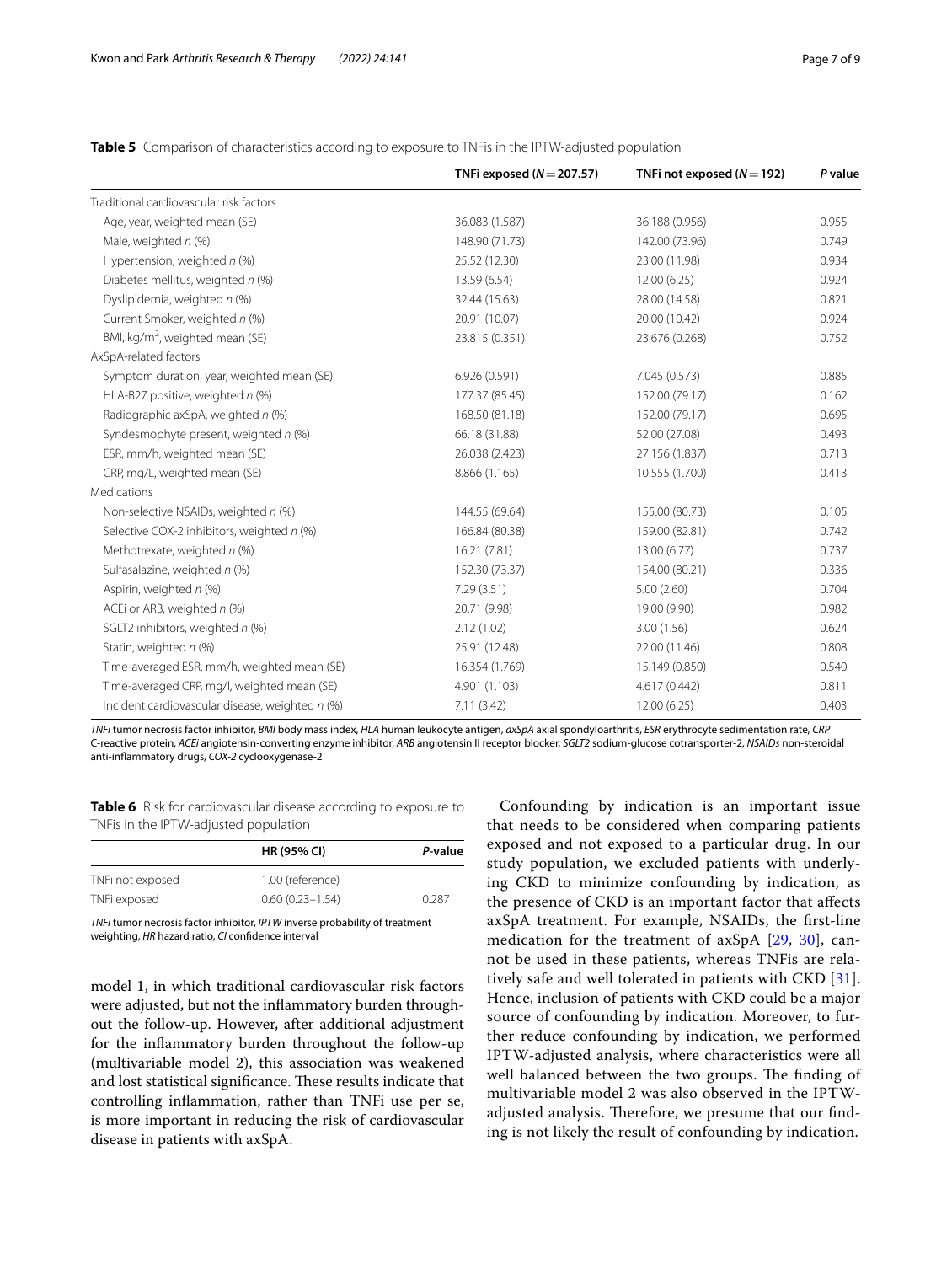<span id="page-6-0"></span>**Table 5** Comparison of characteristics according to exposure to TNFis in the IPTW-adjusted population

|                                                 | TNFi exposed $(N = 207.57)$ | TNFi not exposed $(N=192)$ | P value |
|-------------------------------------------------|-----------------------------|----------------------------|---------|
| Traditional cardiovascular risk factors         |                             |                            |         |
| Age, year, weighted mean (SE)                   | 36.083 (1.587)              | 36.188 (0.956)             | 0.955   |
| Male, weighted $n$ (%)                          | 148.90 (71.73)              | 142.00 (73.96)             | 0.749   |
| Hypertension, weighted n (%)                    | 25.52 (12.30)               | 23.00 (11.98)              | 0.934   |
| Diabetes mellitus, weighted n (%)               | 13.59 (6.54)                | 12.00 (6.25)               | 0.924   |
| Dyslipidemia, weighted n (%)                    | 32.44 (15.63)               | 28.00 (14.58)              | 0.821   |
| Current Smoker, weighted n (%)                  | 20.91 (10.07)               | 20.00 (10.42)              | 0.924   |
| BMI, kg/m <sup>2</sup> , weighted mean (SE)     | 23.815 (0.351)              | 23.676 (0.268)             | 0.752   |
| AxSpA-related factors                           |                             |                            |         |
| Symptom duration, year, weighted mean (SE)      | 6.926 (0.591)               | 7.045 (0.573)              | 0.885   |
| HLA-B27 positive, weighted n (%)                | 177.37 (85.45)              | 152.00 (79.17)             | 0.162   |
| Radiographic axSpA, weighted n (%)              | 168.50 (81.18)              | 152.00 (79.17)             | 0.695   |
| Syndesmophyte present, weighted n (%)           | 66.18 (31.88)               | 52.00 (27.08)              | 0.493   |
| ESR, mm/h, weighted mean (SE)                   | 26.038 (2.423)              | 27.156 (1.837)             | 0.713   |
| CRP, mg/L, weighted mean (SE)                   | 8.866 (1.165)               | 10.555 (1.700)             | 0.413   |
| Medications                                     |                             |                            |         |
| Non-selective NSAIDs, weighted n (%)            | 144.55 (69.64)              | 155.00 (80.73)             | 0.105   |
| Selective COX-2 inhibitors, weighted n (%)      | 166.84 (80.38)              | 159.00 (82.81)             | 0.742   |
| Methotrexate, weighted n (%)                    | 16.21(7.81)                 | 13.00 (6.77)               | 0.737   |
| Sulfasalazine, weighted n (%)                   | 152.30 (73.37)              | 154.00 (80.21)             | 0.336   |
| Aspirin, weighted n (%)                         | 7.29(3.51)                  | 5.00(2.60)                 | 0.704   |
| ACEi or ARB, weighted n (%)                     | 20.71 (9.98)                | 19.00 (9.90)               | 0.982   |
| SGLT2 inhibitors, weighted n (%)                | 2.12(1.02)                  | 3.00(1.56)                 | 0.624   |
| Statin, weighted n (%)                          | 25.91 (12.48)               | 22.00 (11.46)              | 0.808   |
| Time-averaged ESR, mm/h, weighted mean (SE)     | 16.354 (1.769)              | 15.149 (0.850)             | 0.540   |
| Time-averaged CRP, mg/l, weighted mean (SE)     | 4.901 (1.103)               | 4.617 (0.442)              | 0.811   |
| Incident cardiovascular disease, weighted n (%) | 7.11(3.42)                  | 12.00 (6.25)               | 0.403   |

*TNFi* tumor necrosis factor inhibitor, *BMI* body mass index, *HLA* human leukocyte antigen, *axSpA* axial spondyloarthritis, *ESR* erythrocyte sedimentation rate, *CRP* C-reactive protein, *ACEi* angiotensin-converting enzyme inhibitor, *ARB* angiotensin II receptor blocker, *SGLT2* sodium-glucose cotransporter-2, *NSAIDs* non-steroidal anti-infammatory drugs, *COX-2* cyclooxygenase-2

<span id="page-6-1"></span>**Table 6** Risk for cardiovascular disease according to exposure to TNFis in the IPTW-adjusted population

|                  | <b>HR (95% CI)</b>  | P-value |
|------------------|---------------------|---------|
| TNFi not exposed | 1.00 (reference)    |         |
| TNFi exposed     | $0.60(0.23 - 1.54)$ | 0.287   |

*TNFi* tumor necrosis factor inhibitor, *IPTW* inverse probability of treatment weighting, *HR* hazard ratio, *CI* confdence interval

model 1, in which traditional cardiovascular risk factors were adjusted, but not the infammatory burden throughout the follow-up. However, after additional adjustment for the infammatory burden throughout the follow-up (multivariable model 2), this association was weakened and lost statistical significance. These results indicate that controlling infammation, rather than TNFi use per se, is more important in reducing the risk of cardiovascular disease in patients with axSpA.

Confounding by indication is an important issue that needs to be considered when comparing patients exposed and not exposed to a particular drug. In our study population, we excluded patients with underlying CKD to minimize confounding by indication, as the presence of CKD is an important factor that afects axSpA treatment. For example, NSAIDs, the frst-line medication for the treatment of axSpA [\[29,](#page-8-10) [30](#page-8-11)], cannot be used in these patients, whereas TNFis are relatively safe and well tolerated in patients with CKD [[31](#page-8-12)]. Hence, inclusion of patients with CKD could be a major source of confounding by indication. Moreover, to further reduce confounding by indication, we performed IPTW-adjusted analysis, where characteristics were all well balanced between the two groups. The finding of multivariable model 2 was also observed in the IPTWadjusted analysis. Therefore, we presume that our finding is not likely the result of confounding by indication.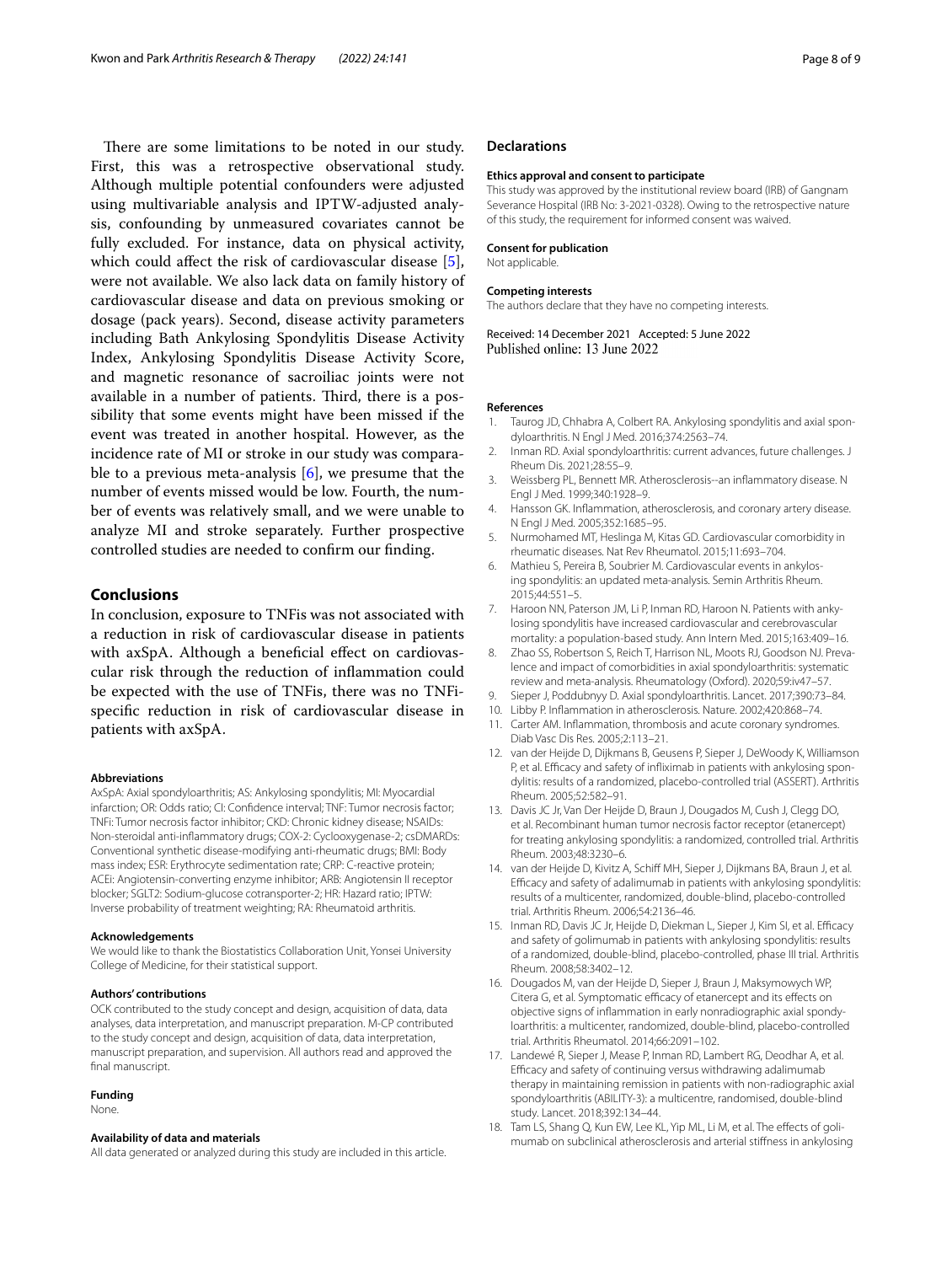There are some limitations to be noted in our study. First, this was a retrospective observational study. Although multiple potential confounders were adjusted using multivariable analysis and IPTW-adjusted analysis, confounding by unmeasured covariates cannot be fully excluded. For instance, data on physical activity, which could afect the risk of cardiovascular disease [\[5](#page-7-3)], were not available. We also lack data on family history of cardiovascular disease and data on previous smoking or dosage (pack years). Second, disease activity parameters including Bath Ankylosing Spondylitis Disease Activity Index, Ankylosing Spondylitis Disease Activity Score, and magnetic resonance of sacroiliac joints were not available in a number of patients. Third, there is a possibility that some events might have been missed if the event was treated in another hospital. However, as the incidence rate of MI or stroke in our study was comparable to a previous meta-analysis [[6\]](#page-7-4), we presume that the number of events missed would be low. Fourth, the number of events was relatively small, and we were unable to analyze MI and stroke separately. Further prospective controlled studies are needed to confrm our fnding.

# **Conclusions**

In conclusion, exposure to TNFis was not associated with a reduction in risk of cardiovascular disease in patients with axSpA. Although a beneficial effect on cardiovascular risk through the reduction of infammation could be expected with the use of TNFis, there was no TNFispecifc reduction in risk of cardiovascular disease in patients with axSpA.

#### **Abbreviations**

AxSpA: Axial spondyloarthritis; AS: Ankylosing spondylitis; MI: Myocardial infarction; OR: Odds ratio; CI: Confdence interval; TNF: Tumor necrosis factor; TNFi: Tumor necrosis factor inhibitor; CKD: Chronic kidney disease; NSAIDs: Non-steroidal anti-infammatory drugs; COX-2: Cyclooxygenase-2; csDMARDs: Conventional synthetic disease-modifying anti-rheumatic drugs; BMI: Body mass index; ESR: Erythrocyte sedimentation rate; CRP: C-reactive protein; ACEi: Angiotensin-converting enzyme inhibitor; ARB: Angiotensin II receptor blocker; SGLT2: Sodium-glucose cotransporter-2; HR: Hazard ratio; IPTW: Inverse probability of treatment weighting; RA: Rheumatoid arthritis.

#### **Acknowledgements**

We would like to thank the Biostatistics Collaboration Unit, Yonsei University College of Medicine, for their statistical support.

#### **Authors' contributions**

OCK contributed to the study concept and design, acquisition of data, data analyses, data interpretation, and manuscript preparation. M-CP contributed to the study concept and design, acquisition of data, data interpretation, manuscript preparation, and supervision. All authors read and approved the final manuscript.

#### **Funding**

None.

#### **Availability of data and materials**

All data generated or analyzed during this study are included in this article.

#### **Declarations**

#### **Ethics approval and consent to participate**

This study was approved by the institutional review board (IRB) of Gangnam Severance Hospital (IRB No: 3-2021-0328). Owing to the retrospective nature of this study, the requirement for informed consent was waived.

#### **Consent for publication**

Not applicable.

#### **Competing interests**

The authors declare that they have no competing interests.

Received: 14 December 2021 Accepted: 5 June 2022 Published online: 13 June 2022

#### **References**

- <span id="page-7-0"></span>1. Taurog JD, Chhabra A, Colbert RA. Ankylosing spondylitis and axial spondyloarthritis. N Engl J Med. 2016;374:2563–74.
- <span id="page-7-1"></span>2. Inman RD. Axial spondyloarthritis: current advances, future challenges. J Rheum Dis. 2021;28:55–9.
- <span id="page-7-2"></span>3. Weissberg PL, Bennett MR. Atherosclerosis--an infammatory disease. N Engl J Med. 1999;340:1928–9.
- 4. Hansson GK. Infammation, atherosclerosis, and coronary artery disease. N Engl J Med. 2005;352:1685–95.
- <span id="page-7-3"></span>5. Nurmohamed MT, Heslinga M, Kitas GD. Cardiovascular comorbidity in rheumatic diseases. Nat Rev Rheumatol. 2015;11:693–704.
- <span id="page-7-4"></span>6. Mathieu S, Pereira B, Soubrier M. Cardiovascular events in ankylosing spondylitis: an updated meta-analysis. Semin Arthritis Rheum. 2015;44:551–5.
- <span id="page-7-5"></span>7. Haroon NN, Paterson JM, Li P, Inman RD, Haroon N. Patients with ankylosing spondylitis have increased cardiovascular and cerebrovascular mortality: a population-based study. Ann Intern Med. 2015;163:409–16.
- <span id="page-7-6"></span>8. Zhao SS, Robertson S, Reich T, Harrison NL, Moots RJ, Goodson NJ. Prevalence and impact of comorbidities in axial spondyloarthritis: systematic review and meta-analysis. Rheumatology (Oxford). 2020;59:iv47–57.
- <span id="page-7-7"></span>9. Sieper J, Poddubnyy D. Axial spondyloarthritis. Lancet. 2017;390:73–84.
- <span id="page-7-8"></span>10. Libby P. Infammation in atherosclerosis. Nature. 2002;420:868–74.
- <span id="page-7-9"></span>11. Carter AM. Infammation, thrombosis and acute coronary syndromes. Diab Vasc Dis Res. 2005;2:113–21.
- <span id="page-7-10"></span>12. van der Heijde D, Dijkmans B, Geusens P, Sieper J, DeWoody K, Williamson P, et al. Efficacy and safety of infliximab in patients with ankylosing spondylitis: results of a randomized, placebo-controlled trial (ASSERT). Arthritis Rheum. 2005;52:582–91.
- 13. Davis JC Jr, Van Der Heijde D, Braun J, Dougados M, Cush J, Clegg DO, et al. Recombinant human tumor necrosis factor receptor (etanercept) for treating ankylosing spondylitis: a randomized, controlled trial. Arthritis Rheum. 2003;48:3230–6.
- 14. van der Heijde D, Kivitz A, Schif MH, Sieper J, Dijkmans BA, Braun J, et al. Efficacy and safety of adalimumab in patients with ankylosing spondylitis: results of a multicenter, randomized, double-blind, placebo-controlled trial. Arthritis Rheum. 2006;54:2136–46.
- 15. Inman RD, Davis JC Jr, Heijde D, Diekman L, Sieper J, Kim SI, et al. Efficacy and safety of golimumab in patients with ankylosing spondylitis: results of a randomized, double-blind, placebo-controlled, phase III trial. Arthritis Rheum. 2008;58:3402–12.
- 16. Dougados M, van der Heijde D, Sieper J, Braun J, Maksymowych WP, Citera G, et al. Symptomatic efficacy of etanercept and its effects on objective signs of inflammation in early nonradiographic axial spondyloarthritis: a multicenter, randomized, double-blind, placebo-controlled trial. Arthritis Rheumatol. 2014;66:2091–102.
- <span id="page-7-11"></span>17. Landewé R, Sieper J, Mease P, Inman RD, Lambert RG, Deodhar A, et al. Efficacy and safety of continuing versus withdrawing adalimumab therapy in maintaining remission in patients with non-radiographic axial spondyloarthritis (ABILITY-3): a multicentre, randomised, double-blind study. Lancet. 2018;392:134–44.
- <span id="page-7-12"></span>18. Tam LS, Shang Q, Kun EW, Lee KL, Yip ML, Li M, et al. The effects of golimumab on subclinical atherosclerosis and arterial stifness in ankylosing